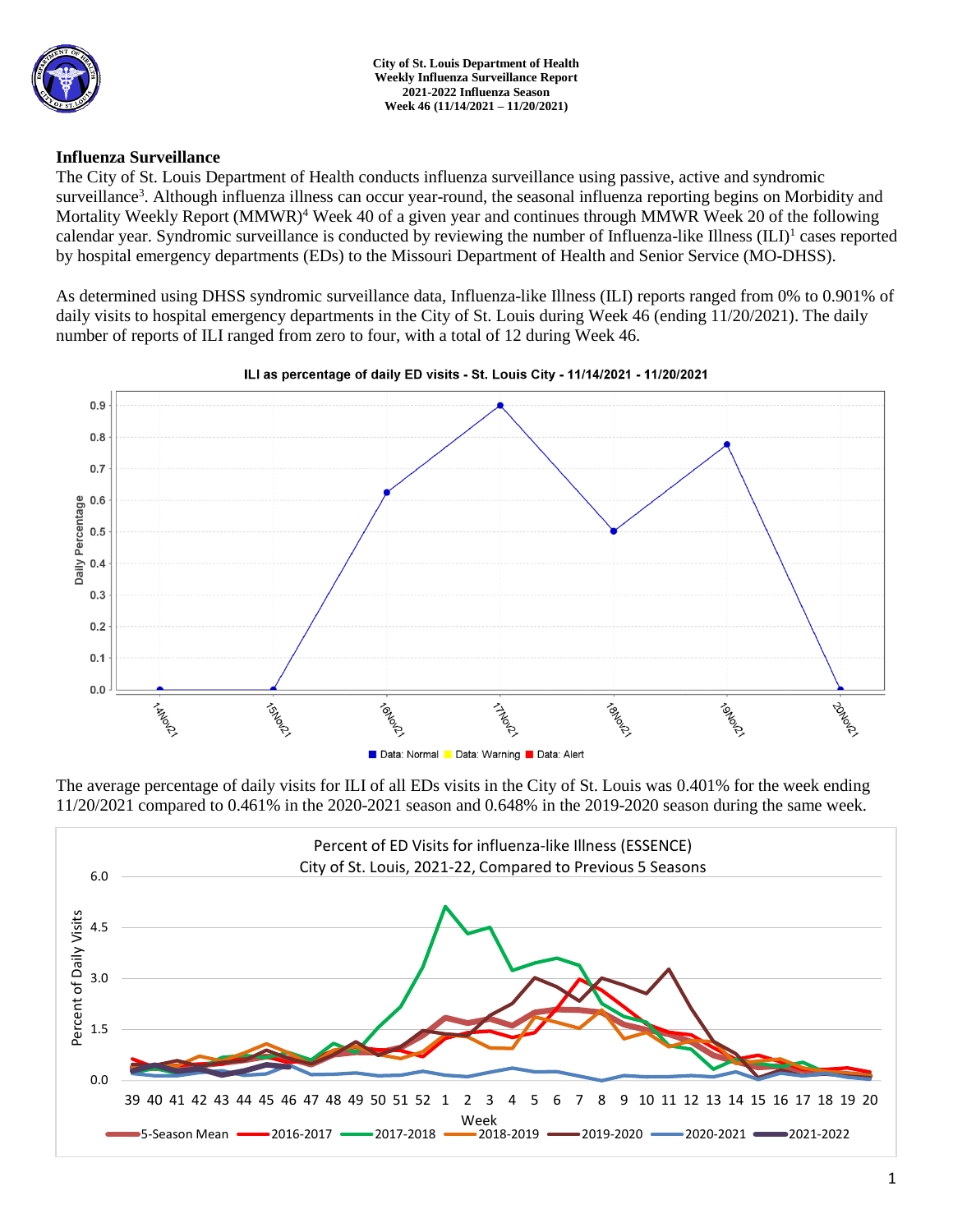

**City of St. Louis Department of Health Weekly Influenza Surveillance Report 2021-2022 Influenza Season Week 46 (11/14/2021 – 11/20/2021)**

### **Influenza Surveillance**

The City of St. Louis Department of Health conducts influenza surveillance using passive, active and syndromic surveillance<sup>3</sup>. Although influenza illness can occur year-round, the seasonal influenza reporting begins on Morbidity and Mortality Weekly Report (MMWR)<sup>4</sup> Week 40 of a given year and continues through MMWR Week 20 of the following calendar year. Syndromic surveillance is conducted by reviewing the number of Influenza-like Illness (ILI)<sup>1</sup> cases reported by hospital emergency departments (EDs) to the Missouri Department of Health and Senior Service (MO-DHSS).

As determined using DHSS syndromic surveillance data, Influenza-like Illness (ILI) reports ranged from 0% to 0.901% of daily visits to hospital emergency departments in the City of St. Louis during Week 46 (ending 11/20/2021). The daily number of reports of ILI ranged from zero to four, with a total of 12 during Week 46.



ILI as percentage of daily ED visits - St. Louis City - 11/14/2021 - 11/20/2021

The average percentage of daily visits for ILI of all EDs visits in the City of St. Louis was 0.401% for the week ending 11/20/2021 compared to 0.461% in the 2020-2021 season and 0.648% in the 2019-2020 season during the same week.

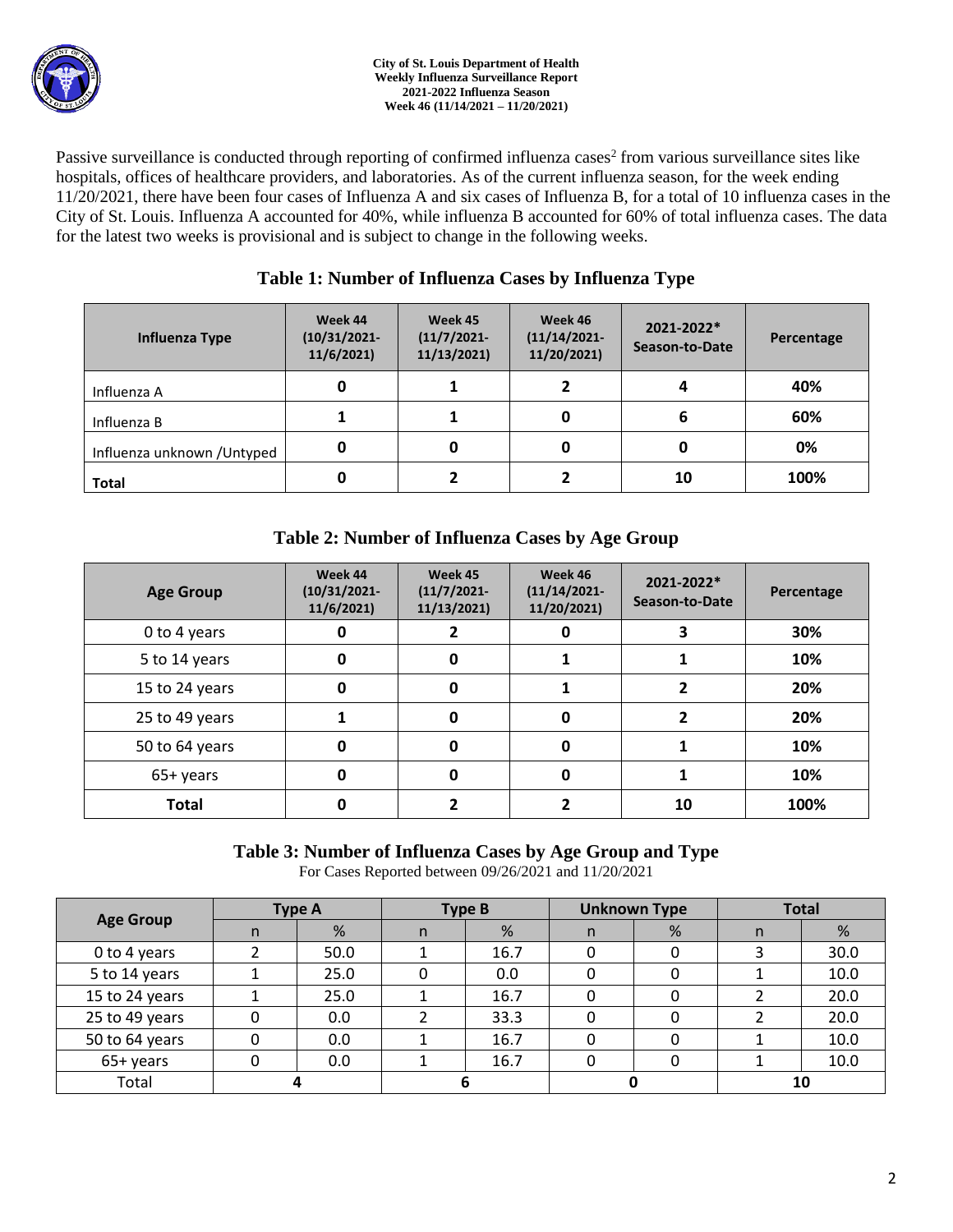

Passive surveillance is conducted through reporting of confirmed influenza cases<sup>2</sup> from various surveillance sites like hospitals, offices of healthcare providers, and laboratories. As of the current influenza season, for the week ending 11/20/2021, there have been four cases of Influenza A and six cases of Influenza B, for a total of 10 influenza cases in the City of St. Louis. Influenza A accounted for 40%, while influenza B accounted for 60% of total influenza cases. The data for the latest two weeks is provisional and is subject to change in the following weeks.

## **Table 1: Number of Influenza Cases by Influenza Type**

| Influenza Type              | Week 44<br>$(10/31/2021 -$<br>11/6/2021 | Week 45<br>$(11/7/2021 -$<br>11/13/2021 | Week 46<br>$(11/14/2021 -$<br>11/20/2021) | 2021-2022*<br>Season-to-Date | Percentage |
|-----------------------------|-----------------------------------------|-----------------------------------------|-------------------------------------------|------------------------------|------------|
| Influenza A                 | 0                                       |                                         |                                           | 4                            | 40%        |
| Influenza B                 |                                         |                                         |                                           | 6                            | 60%        |
| Influenza unknown / Untyped | 0                                       | 0                                       |                                           |                              | 0%         |
| <b>Total</b>                | 0                                       |                                         |                                           | 10                           | 100%       |

# **Table 2: Number of Influenza Cases by Age Group**

| <b>Age Group</b> | Week 44<br>$(10/31/2021 -$<br>11/6/2021 | Week 45<br>$(11/7/2021 -$<br>11/13/2021) | Week 46<br>$(11/14/2021 -$<br>11/20/2021) | 2021-2022*<br>Season-to-Date | Percentage |
|------------------|-----------------------------------------|------------------------------------------|-------------------------------------------|------------------------------|------------|
| 0 to 4 years     | 0                                       |                                          | 0                                         | 3                            | 30%        |
| 5 to 14 years    | 0                                       | 0                                        |                                           |                              | 10%        |
| 15 to 24 years   | 0                                       | 0                                        |                                           |                              | 20%        |
| 25 to 49 years   | 1                                       | 0                                        | 0                                         | 2                            | 20%        |
| 50 to 64 years   | 0                                       | 0                                        | 0                                         |                              | 10%        |
| 65+ years        | 0                                       | 0                                        | 0                                         |                              | 10%        |
| <b>Total</b>     | 0                                       |                                          |                                           | 10                           | 100%       |

### **Table 3: Number of Influenza Cases by Age Group and Type**

For Cases Reported between 09/26/2021 and 11/20/2021

| <b>Age Group</b> | <b>Type A</b> |      | <b>Type B</b> |      | <b>Unknown Type</b> |   | <b>Total</b> |      |
|------------------|---------------|------|---------------|------|---------------------|---|--------------|------|
|                  | n             | %    | n             | %    | n                   | % | n            | %    |
| 0 to 4 years     |               | 50.0 |               | 16.7 |                     |   |              | 30.0 |
| 5 to 14 years    |               | 25.0 |               | 0.0  |                     |   |              | 10.0 |
| 15 to 24 years   |               | 25.0 |               | 16.7 |                     |   |              | 20.0 |
| 25 to 49 years   |               | 0.0  |               | 33.3 |                     |   |              | 20.0 |
| 50 to 64 years   |               | 0.0  |               | 16.7 |                     |   |              | 10.0 |
| 65+ years        |               | 0.0  |               | 16.7 |                     | 0 |              | 10.0 |
| Total            |               |      |               |      |                     |   | 10           |      |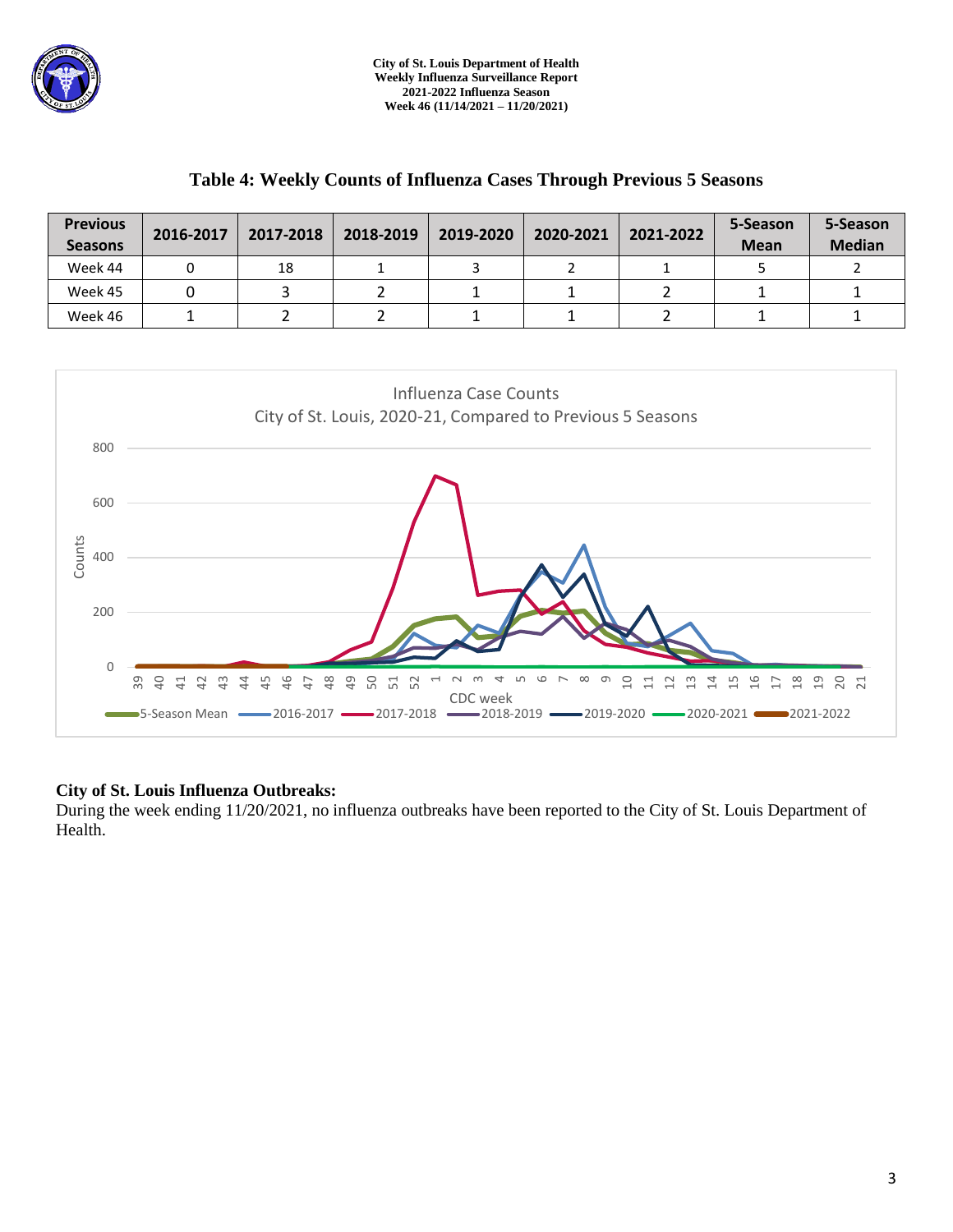

### **Table 4: Weekly Counts of Influenza Cases Through Previous 5 Seasons**

| <b>Previous</b><br><b>Seasons</b> | 2016-2017 | 2017-2018 | 2018-2019 | 2019-2020 | 2020-2021 | 2021-2022 | 5-Season<br><b>Mean</b> | 5-Season<br><b>Median</b> |
|-----------------------------------|-----------|-----------|-----------|-----------|-----------|-----------|-------------------------|---------------------------|
| Week 44                           |           | 18        |           |           |           |           |                         |                           |
| Week 45                           |           |           |           |           |           |           |                         |                           |
| Week 46                           |           |           |           |           |           |           |                         |                           |



### **City of St. Louis Influenza Outbreaks:**

During the week ending 11/20/2021, no influenza outbreaks have been reported to the City of St. Louis Department of Health.